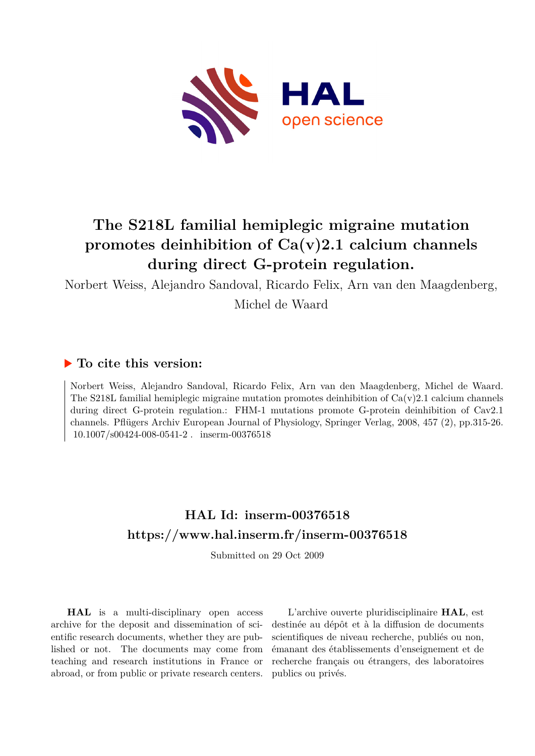

# **The S218L familial hemiplegic migraine mutation promotes deinhibition of Ca(v)2.1 calcium channels during direct G-protein regulation.**

Norbert Weiss, Alejandro Sandoval, Ricardo Felix, Arn van den Maagdenberg,

Michel de Waard

## **To cite this version:**

Norbert Weiss, Alejandro Sandoval, Ricardo Felix, Arn van den Maagdenberg, Michel de Waard. The S218L familial hemiplegic migraine mutation promotes deinhibition of  $Ca(v)2.1$  calcium channels during direct G-protein regulation.: FHM-1 mutations promote G-protein deinhibition of Cav2.1 channels. Pflügers Archiv European Journal of Physiology, Springer Verlag, 2008, 457 (2), pp.315-26.  $10.1007/s00424-008-0541-2$ . inserm-00376518

## **HAL Id: inserm-00376518 <https://www.hal.inserm.fr/inserm-00376518>**

Submitted on 29 Oct 2009

**HAL** is a multi-disciplinary open access archive for the deposit and dissemination of scientific research documents, whether they are published or not. The documents may come from teaching and research institutions in France or abroad, or from public or private research centers.

L'archive ouverte pluridisciplinaire **HAL**, est destinée au dépôt et à la diffusion de documents scientifiques de niveau recherche, publiés ou non, émanant des établissements d'enseignement et de recherche français ou étrangers, des laboratoires publics ou privés.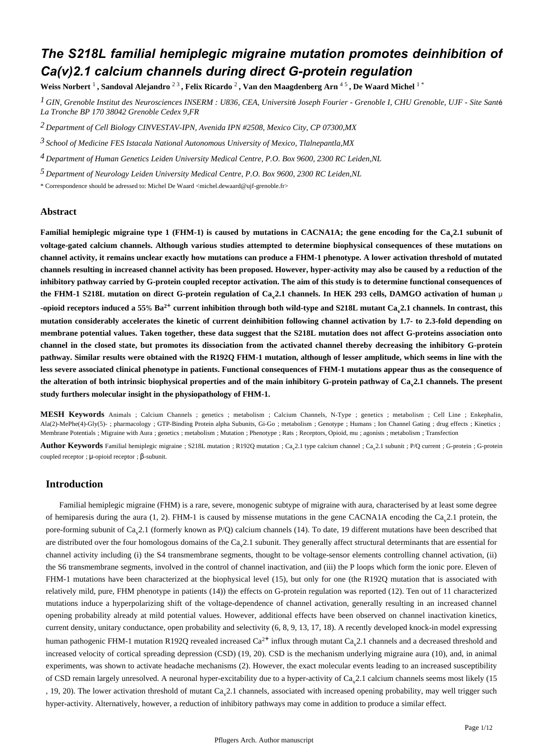## *The S218L familial hemiplegic migraine mutation promotes deinhibition of Ca(v)2.1 calcium channels during direct G-protein regulation*

**Weiss Norbert**  1 **, Sandoval Alejandro** <sup>2</sup> <sup>3</sup> **, Felix Ricardo** <sup>2</sup> **, Van den Maagdenberg Arn** <sup>4</sup> <sup>5</sup> **, De Waard Michel** 1 \*

<sup>1</sup> GIN, Grenoble Institut des Neurosciences INSERM : U836, CEA, Université Joseph Fourier - Grenoble I, CHU Grenoble, UJF - Site Santé *La Tronche BP 170 38042 Grenoble Cedex 9,FR*

*Department of Cell Biology 2 CINVESTAV-IPN, Avenida IPN #2508, Mexico City, CP 07300,MX*

*School of Medicine FES Istacala 3 National Autonomous University of Mexico, Tlalnepantla,MX*

*Department of Human Genetics 4 Leiden University Medical Centre, P.O. Box 9600, 2300 RC Leiden,NL*

*Department of Neurology 5 Leiden University Medical Centre, P.O. Box 9600, 2300 RC Leiden,NL*

\* Correspondence should be adressed to: Michel De Waard <michel.dewaard@ujf-grenoble.fr>

## **Abstract**

**Familial hemiplegic migraine type 1 (FHM-1) is caused by mutations in CACNA1A; the gene encoding for the Ca<sub>v</sub>2.1 subunit of voltage-gated calcium channels. Although various studies attempted to determine biophysical consequences of these mutations on channel activity, it remains unclear exactly how mutations can produce a FHM-1 phenotype. A lower activation threshold of mutated channels resulting in increased channel activity has been proposed. However, hyper-activity may also be caused by a reduction of the inhibitory pathway carried by G-protein coupled receptor activation. The aim of this study is to determine functional consequences of the FHM-1 S218L mutation on direct G-protein regulation of Ca<sub>v</sub>2.1 channels. In HEK 293 cells, DAMGO activation of human μ** -opioid receptors induced a 55%  $Ba^{2+}$  current inhibition through both wild-type and S218L mutant Ca<sub>y</sub>2.1 channels. In contrast, this **mutation considerably accelerates the kinetic of current deinhibition following channel activation by 1.7- to 2.3-fold depending on membrane potential values. Taken together, these data suggest that the S218L mutation does not affect G-proteins association onto channel in the closed state, but promotes its dissociation from the activated channel thereby decreasing the inhibitory G-protein pathway. Similar results were obtained with the R192Q FHM-1 mutation, although of lesser amplitude, which seems in line with the less severe associated clinical phenotype in patients. Functional consequences of FHM-1 mutations appear thus as the consequence of** the alteration of both intrinsic biophysical properties and of the main inhibitory G-protein pathway of  $Ca<sub>v</sub>2.1$  channels. The present **study furthers molecular insight in the physiopathology of FHM-1.**

**MESH Keywords** Animals ; Calcium Channels ; genetics ; metabolism ; Calcium Channels, N-Type ; genetics ; metabolism ; Cell Line ; Enkephalin, Ala(2)-MePhe(4)-Gly(5)-; pharmacology ; GTP-Binding Protein alpha Subunits, Gi-Go; metabolism; Genotype; Humans; Ion Channel Gating; drug effects; Kinetics; Membrane Potentials ; Migraine with Aura ; genetics ; metabolism ; Mutation ; Phenotype ; Rats ; Receptors, Opioid, mu ; agonists ; metabolism ; Transfection

Author Keywords Familial hemiplegic migraine ; S218L mutation ; R192Q mutation ; Ca<sub>y</sub>2.1 type calcium channel ; Ca<sub>y</sub>2.1 subunit ; P/Q current ; G-protein ; G-protein ; G-protein coupled receptor ;  $\mu$ -opioid receptor ;  $\beta$ -subunit.

## **Introduction**

Familial hemiplegic migraine (FHM) is a rare, severe, monogenic subtype of migraine with aura, characterised by at least some degree of hemiparesis during the aura  $(1, 2)$ . FHM-1 is caused by missense mutations in the gene CACNA1A encoding the Ca<sub>n</sub>2.1 protein, the pore-forming subunit of  $Ca_v2.1$  (formerly known as P/Q) calcium channels (14). To date, 19 different mutations have been described that are distributed over the four homologous domains of the  $Ca<sub>v</sub>2.1$  subunit. They generally affect structural determinants that are essential for channel activity including (i) the S4 transmembrane segments, thought to be voltage-sensor elements controlling channel activation, (ii) the S6 transmembrane segments, involved in the control of channel inactivation, and (iii) the P loops which form the ionic pore. Eleven of FHM-1 mutations have been characterized at the biophysical level (15), but only for one (the R192Q mutation that is associated with relatively mild, pure, FHM phenotype in patients (14)) the effects on G-protein regulation was reported (12). Ten out of 11 characterized mutations induce a hyperpolarizing shift of the voltage-dependence of channel activation, generally resulting in an increased channel opening probability already at mild potential values. However, additional effects have been observed on channel inactivation kinetics, current density, unitary conductance, open probability and selectivity  $(6, 8, 9, 13, 17, 18)$ . A recently developed knock-in model expressing human pathogenic FHM-1 mutation R192Q revealed increased  $Ca^{2+}$  influx through mutant  $Ca_{\nu}^2$ .1 channels and a decreased threshold and increased velocity of cortical spreading depression (CSD)  $(19, 20)$ . CSD is the mechanism underlying migraine aura (10), and, in animal experiments, was shown to activate headache mechanisms (2). However, the exact molecular events leading to an increased susceptibility of CSD remain largely unresolved. A neuronal hyper-excitability due to a hyper-activity of  $Ca<sub>v</sub>2.1$  calcium channels seems most likely (15 , 19, 20). The lower activation threshold of mutant Ca 2.1 channels, associated with increased opening probability, may well trigger such hyper-activity. Alternatively, however, a reduction of inhibitory pathways may come in addition to produce a similar effect.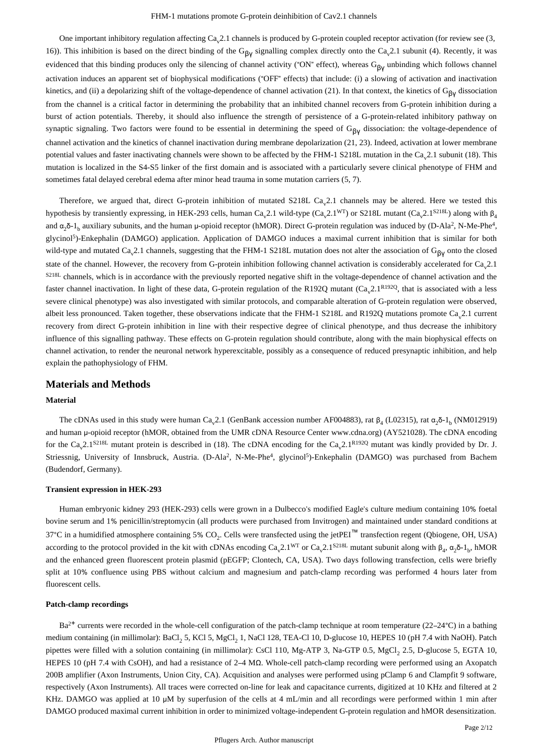One important inhibitory regulation affecting  $Ca<sub>v</sub>2.1$  channels is produced by G-protein coupled receptor activation (for review see (3, 16)). This inhibition is based on the direct binding of the G<sub>βγ</sub> signalling complex directly onto the Ca<sub>v</sub>2.1 subunit (4). Recently, it was evidenced that this binding produces only the silencing of channel activity ("ON" effect), whereas  $G_{\beta V}$  unbinding which follows channel activation induces an apparent set of biophysical modifications ("OFF" effects) that include: (i) a slowing of activation and inactivation kinetics, and (ii) a depolarizing shift of the voltage-dependence of channel activation (21). In that context, the kinetics of  $G_{\beta V}$  dissociation from the channel is a critical factor in determining the probability that an inhibited channel recovers from G-protein inhibition during a burst of action potentials. Thereby, it should also influence the strength of persistence of a G-protein-related inhibitory pathway on synaptic signaling. Two factors were found to be essential in determining the speed of  $G_{\beta y}$  dissociation: the voltage-dependence of channel activation and the kinetics of channel inactivation during membrane depolarization (21, 23). Indeed, activation at lower membrane potential values and faster inactivating channels were shown to be affected by the FHM-1 S218L mutation in the  $Ca<sub>v</sub>2.1$  subunit (18). This mutation is localized in the S4-S5 linker of the first domain and is associated with a particularly severe clinical phenotype of FHM and sometimes fatal delayed cerebral edema after minor head trauma in some mutation carriers  $(5, 7)$ .

Therefore, we argued that, direct G-protein inhibition of mutated  $S218L$  Ca<sub>v</sub>2.1 channels may be altered. Here we tested this hypothesis by transiently expressing, in HEK-293 cells, human Ca<sub>y</sub>2.1 wild-type (Ca<sub>y</sub>2.1<sup>WT</sup>) or S218L mutant (Ca<sub>y</sub>2.1<sup>S218L</sup>) along with  $\beta_4$ and  $\alpha_2\delta$ -1<sub>b</sub> auxiliary subunits, and the human  $\mu$ -opioid receptor (hMOR). Direct G-protein regulation was induced by (D-Ala<sup>2</sup>, N-Me-Phe<sup>4</sup>, glycinol<sup>5</sup>)-Enkephalin (DAMGO) application. Application of DAMGO induces a maximal current inhibition that is similar for both wild-type and mutated Ca<sub>v</sub>2.1 channels, suggesting that the FHM-1 S218L mutation does not alter the association of G<sub>BV</sub> onto the closed state of the channel. However, the recovery from G-protein inhibition following channel activation is considerably accelerated for Ca 2.1  $S<sub>218L</sub>$  channels, which is in accordance with the previously reported negative shift in the voltage-dependence of channel activation and the faster channel inactivation. In light of these data, G-protein regulation of the R192Q mutant  $(Ca_v 2.1^{R192Q}$ , that is associated with a less severe clinical phenotype) was also investigated with similar protocols, and comparable alteration of G-protein regulation were observed, albeit less pronounced. Taken together, these observations indicate that the FHM-1 S218L and R192Q mutations promote  $Ca<sub>v</sub>2.1$  current recovery from direct G-protein inhibition in line with their respective degree of clinical phenotype, and thus decrease the inhibitory influence of this signalling pathway. These effects on G-protein regulation should contribute, along with the main biophysical effects on channel activation, to render the neuronal network hyperexcitable, possibly as a consequence of reduced presynaptic inhibition, and help explain the pathophysiology of FHM.

## **Materials and Methods**

#### **Material**

The cDNAs used in this study were human Ca<sub>y</sub>2.1 (GenBank accession number AF004883), rat  $\beta_4$  (L02315), rat  $\alpha_2\delta$ -1<sub>b</sub> (NM012919) and human μ-opioid receptor (hMOR, obtained from the UMR cDNA Resource Center www.cdna.org) (AY521028). The cDNA encoding for the Ca<sub>y</sub>2.1<sup>S218L</sup> mutant protein is described in (18). The cDNA encoding for the Ca<sub>y</sub>2.1<sup>R192Q</sup> mutant was kindly provided by Dr. J. Striessnig, University of Innsbruck, Austria. (D-Ala<sup>2</sup>, N-Me-Phe<sup>4</sup>, glycinol<sup>5</sup>)-Enkephalin (DAMGO) was purchased from Bachem (Budendorf, Germany).

#### **Transient expression in HEK-293**

Human embryonic kidney 293 (HEK-293) cells were grown in a Dulbecco's modified Eagle's culture medium containing 10% foetal bovine serum and 1% penicillin/streptomycin (all products were purchased from Invitrogen) and maintained under standard conditions at 37°C in a humidified atmosphere containing 5% CO<sub>2</sub>. Cells were transfected using the jetPEI<sup>™</sup> transfection regent (Qbiogene, OH, USA) according to the protocol provided in the kit with cDNAs encoding  $Ca_v 2.1^{WT}$  or  $Ca_v 2.1^{S218L}$  mutant subunit along with  $\beta_4$ ,  $\alpha_2\delta$ -1<sub>b</sub>, hMOR and the enhanced green fluorescent protein plasmid (pEGFP; Clontech, CA, USA). Two days following transfection, cells were briefly split at 10% confluence using PBS without calcium and magnesium and patch-clamp recording was performed 4 hours later from fluorescent cells.

#### **Patch-clamp recordings**

 $Ba^{2+}$  currents were recorded in the whole-cell configuration of the patch-clamp technique at room temperature (22–24 $^{\circ}$ C) in a bathing medium containing (in millimolar): BaCl, 5, KCl 5, MgCl, 1, NaCl 128, TEA-Cl 10, D-glucose 10, HEPES 10 (pH 7.4 with NaOH). Patch pipettes were filled with a solution containing (in millimolar): CsCl 110, Mg-ATP 3, Na-GTP 0.5, MgCl<sub>2</sub> 2.5, D-glucose 5, EGTA 10, HEPES 10 (pH 7.4 with CsOH), and had a resistance of 2-4 MΩ. Whole-cell patch-clamp recording were performed using an Axopatch 200B amplifier (Axon Instruments, Union City, CA). Acquisition and analyses were performed using pClamp 6 and Clampfit 9 software, respectively (Axon Instruments). All traces were corrected on-line for leak and capacitance currents, digitized at 10 KHz and filtered at 2 KHz. DAMGO was applied at 10  $\mu$ M by superfusion of the cells at 4 mL/min and all recordings were performed within 1 min after DAMGO produced maximal current inhibition in order to minimized voltage-independent G-protein regulation and hMOR desensitization.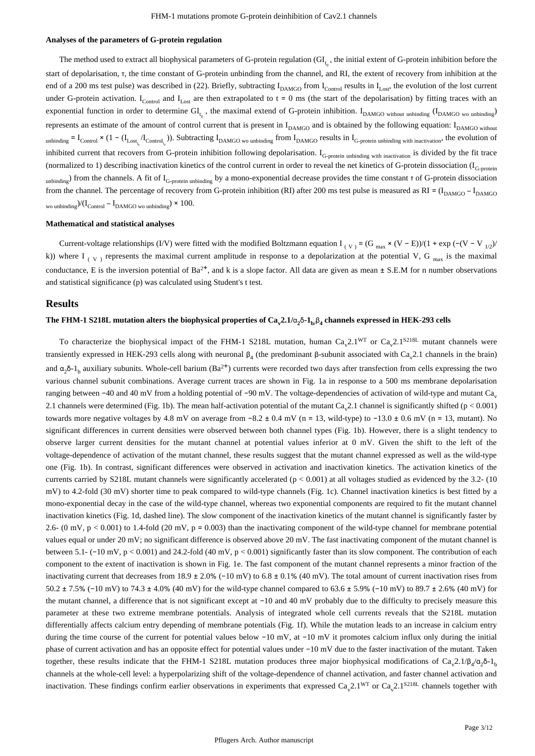#### **Analyses of the parameters of G-protein regulation**

The method used to extract all biophysical parameters of G-protein regulation  $\langle GI_{r}$ , the initial extent of G-protein inhibition before the start of depolarisation, τ, the time constant of G-protein unbinding from the channel, and RI, the extent of recovery from inhibition at the end of a 200 ms test pulse) was described in (22). Briefly, subtracting  $I_{\text{DAMGO}}$  from  $I_{\text{Control}}$  results in  $I_{\text{I ost}}$ , the evolution of the lost current under G-protein activation. I<sub>Control</sub> and I<sub>Lost</sub> are then extrapolated to  $t = 0$  ms (the start of the depolarisation) by fitting traces with an exponential function in order to determine  $GI_L$ , the maximal extend of G-protein inhibition.  $I_{DAMGO}$  without unbinding  $(I_{DAMGO}$  wo unbinding) represents an estimate of the amount of control current that is present in  $I_{DAMGO}$  and is obtained by the following equation:  $I_{DAMGO}$  without unbinding  $= I_{\text{Control}} \times (1 - (I_{\text{Lost}_{t_o}}/I_{\text{Control}_{t_o}}))$ . Subtracting  $I_{\text{DAMGO}}$  wo unbinding from  $I_{\text{DAMGO}}$  results in  $I_{\text{G-protein} }$  unbinding with inactivation, the evolution of inhibited current that recovers from G-protein inhibition following depolarisation. I<sub>G-protein unbinding with inactivation</sub> is divided by the fit trace (normalized to 1) describing inactivation kinetics of the control current in order to reveal the net kinetics of G-protein dissociation  $(I_{G\text{-protein}})$  $\mu_{\text{unbinding}}$ ) from the channels. A fit of I<sub>G-protein unbinding</sub> by a mono-exponential decrease provides the time constant τ of G-protein dissociation from the channel. The percentage of recovery from G-protein inhibition (RI) after 200 ms test pulse is measured as RI =  $(I_{DAMGO} - I_{DAMGO})$ wo unbinding  $/(\text{I}_{\text{Control}} - \text{I}_{\text{DAMGO}})$   $\times$  100.

#### **Mathematical and statistical analyses**

Current-voltage relationships (I/V) were fitted with the modified Boltzmann equation I<sub>(V)</sub> = (G <sub>max</sub> × (V – E))/(1 + exp (-(V – V<sub>1/2</sub>)/ k)) where I  $_{(V)}$  represents the maximal current amplitude in response to a depolarization at the potential V, G  $_{max}$  is the maximal conductance, E is the inversion potential of  $Ba^{2+}$ , and k is a slope factor. All data are given as mean  $\pm$  S.E.M for n number observations and statistical significance (p) was calculated using Student's t test.

#### **Results**

## The FHM-1 S218L mutation alters the biophysical properties of  $\text{Ca}_\text{v}2.1/\text{\alpha}_2$ δ-1<sub>b/</sub>β<sub>4</sub> channels expressed in HEK-293 cells

To characterize the biophysical impact of the FHM-1 S218L mutation, human  $Ca_v2.1<sup>WT</sup>$  or  $Ca_v2.1<sup>S218L</sup>$  mutant channels were transiently expressed in HEK-293 cells along with neuronal  $β_4$  (the predominant β-subunit associated with Ca<sub>v</sub>2.1 channels in the brain) and  $\alpha_2\delta$ -1<sub>b</sub> auxiliary subunits. Whole-cell barium (Ba<sup>2+</sup>) currents were recorded two days after transfection from cells expressing the two various channel subunit combinations. Average current traces are shown in Fig. 1a in response to a 500 ms membrane depolarisation ranging between -40 and 40 mV from a holding potential of -90 mV. The voltage-dependencies of activation of wild-type and mutant Ca<sub>v</sub> 2.1 channels were determined (Fig. 1b). The mean half-activation potential of the mutant  $Ca<sub>v</sub>2.1$  channel is significantly shifted ( $p < 0.001$ ) towards more negative voltages by 4.8 mV on average from  $-8.2 \pm 0.4$  mV (n = 13, wild-type) to  $-13.0 \pm 0.6$  mV (n = 13, mutant). No significant differences in current densities were observed between both channel types (Fig. 1b). However, there is a slight tendency to observe larger current densities for the mutant channel at potential values inferior at 0 mV. Given the shift to the left of the voltage-dependence of activation of the mutant channel, these results suggest that the mutant channel expressed as well as the wild-type one (Fig. 1b). In contrast, significant differences were observed in activation and inactivation kinetics. The activation kinetics of the currents carried by S218L mutant channels were significantly accelerated  $(p < 0.001)$  at all voltages studied as evidenced by the 3.2- (10) mV) to 4.2-fold (30 mV) shorter time to peak compared to wild-type channels (Fig. 1c). Channel inactivation kinetics is best fitted by a mono-exponential decay in the case of the wild-type channel, whereas two exponential components are required to fit the mutant channel inactivation kinetics (Fig. 1d, dashed line). The slow component of the inactivation kinetics of the mutant channel is significantly faster by 2.6- (0 mV,  $p < 0.001$ ) to 1.4-fold (20 mV,  $p = 0.003$ ) than the inactivating component of the wild-type channel for membrane potential values equal or under 20 mV; no significant difference is observed above 20 mV. The fast inactivating component of the mutant channel is between 5.1- ( $-10$  mV, p < 0.001) and 24.2-fold (40 mV, p < 0.001) significantly faster than its slow component. The contribution of each component to the extent of inactivation is shown in Fig. 1e. The fast component of the mutant channel represents a minor fraction of the inactivating current that decreases from 18.9  $\pm$  2.0% (-10 mV) to 6.8  $\pm$  0.1% (40 mV). The total amount of current inactivation rises from 50.2 ± 7.5% (-10 mV) to 74.3 ± 4.0% (40 mV) for the wild-type channel compared to 63.6 ± 5.9% (-10 mV) to 89.7 ± 2.6% (40 mV) for the mutant channel, a difference that is not significant except at -10 and 40 mV probably due to the difficulty to precisely measure this parameter at these two extreme membrane potentials. Analysis of integrated whole cell currents reveals that the S218L mutation differentially affects calcium entry depending of membrane potentials (Fig. 1f). While the mutation leads to an increase in calcium entry during the time course of the current for potential values below  $-10$  mV, at  $-10$  mV it promotes calcium influx only during the initial phase of current activation and has an opposite effect for potential values under -10 mV due to the faster inactivation of the mutant. Taken together, these results indicate that the FHM-1 S218L mutation produces three major biophysical modifications of  $Ca_y2.1/\beta_4/\alpha_2\delta$ -1 channels at the whole-cell level: a hyperpolarizing shift of the voltage-dependence of channel activation, and faster channel activation and inactivation. These findings confirm earlier observations in experiments that expressed  $Ca<sub>v</sub>2.1<sup>WT</sup>$  or  $Ca<sub>v</sub>2.1<sup>S218L</sup>$  channels together with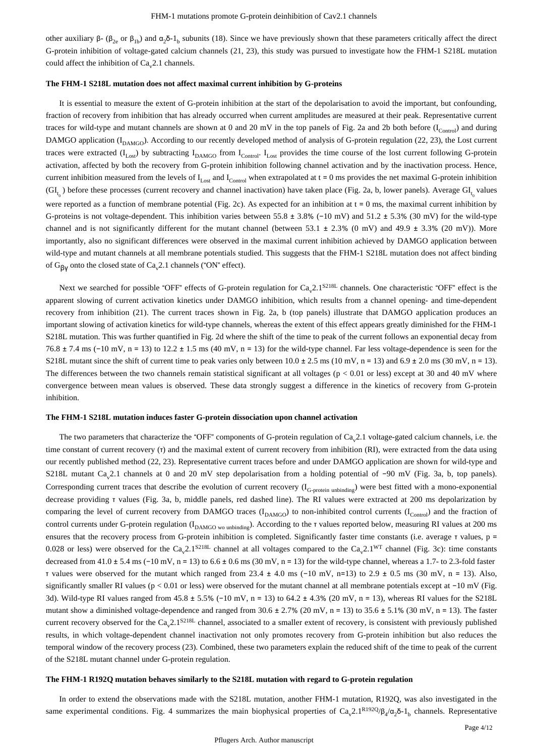other auxiliary β  $(\beta_{2e}$  or  $\beta_{1b})$  and  $\alpha_2\delta$ -1<sub>b</sub> subunits (18). Since we have previously shown that these parameters critically affect the direct G-protein inhibition of voltage-gated calcium channels (21, 23), this study was pursued to investigate how the FHM-1 S218L mutation could affect the inhibition of  $Ca<sub>v</sub>2.1$  channels.

#### **The FHM-1 S218L mutation does not affect maximal current inhibition by G-proteins**

It is essential to measure the extent of G-protein inhibition at the start of the depolarisation to avoid the important, but confounding, fraction of recovery from inhibition that has already occurred when current amplitudes are measured at their peak. Representative current traces for wild-type and mutant channels are shown at 0 and 20 mV in the top panels of Fig. 2a and 2b both before  $(I_{\text{Control}})$  and during DAMGO application  $(I_{\text{DAMGO}})$ . According to our recently developed method of analysis of G-protein regulation (22, 23), the Lost current traces were extracted  $(I_{Lost})$  by subtracting  $I_{DAMG}$  from  $I_{Control}$ .  $I_{Lost}$  provides the time course of the lost current following G-protein activation, affected by both the recovery from G-protein inhibition following channel activation and by the inactivation process. Hence, current inhibition measured from the levels of  $I_{\text{Lostr}}$  and  $I_{\text{Control}}$  when extrapolated at t = 0 ms provides the net maximal G-protein inhibition  $(GI_{t_0})$  before these processes (current recovery and channel inactivation) have taken place (Fig. 2a, b, lower panels). Average  $GI_{t_0}$  values were reported as a function of membrane potential (Fig. 2c). As expected for an inhibition at  $t = 0$  ms, the maximal current inhibition by G-proteins is not voltage-dependent. This inhibition varies between  $55.8 \pm 3.8\%$  (-10 mV) and  $51.2 \pm 5.3\%$  (30 mV) for the wild-type channel and is not significantly different for the mutant channel (between  $53.1 \pm 2.3\%$  (0 mV) and  $49.9 \pm 3.3\%$  (20 mV)). More importantly, also no significant differences were observed in the maximal current inhibition achieved by DAMGO application between wild-type and mutant channels at all membrane potentials studied. This suggests that the FHM-1 S218L mutation does not affect binding of  $G_{\beta\gamma}$  onto the closed state of  $Ca_{\gamma}2.1$  channels ("ON" effect).

Next we searched for possible "OFF" effects of G-protein regulation for  $Ca<sub>v</sub>2.1<sup>S218L</sup>$  channels. One characteristic "OFF" effect is the apparent slowing of current activation kinetics under DAMGO inhibition, which results from a channel opening- and time-dependent recovery from inhibition (21). The current traces shown in Fig. 2a, b (top panels) illustrate that DAMGO application produces an important slowing of activation kinetics for wild-type channels, whereas the extent of this effect appears greatly diminished for the FHM-1 S218L mutation. This was further quantified in Fig. 2d where the shift of the time to peak of the current follows an exponential decay from 76.8  $\pm$  7.4 ms (-10 mV, n = 13) to 12.2  $\pm$  1.5 ms (40 mV, n = 13) for the wild-type channel. Far less voltage-dependence is seen for the S218L mutant since the shift of current time to peak varies only between  $10.0 \pm 2.5$  ms ( $10 \text{ mV}$ , n = 13) and  $6.9 \pm 2.0$  ms ( $30 \text{ mV}$ , n = 13). The differences between the two channels remain statistical significant at all voltages ( $p < 0.01$  or less) except at 30 and 40 mV where convergence between mean values is observed. These data strongly suggest a difference in the kinetics of recovery from G-protein inhibition.

#### **The FHM-1 S218L mutation induces faster G-protein dissociation upon channel activation**

The two parameters that characterize the "OFF" components of G-protein regulation of  $Ca<sub>v</sub>2.1$  voltage-gated calcium channels, i.e. the time constant of current recovery (τ) and the maximal extent of current recovery from inhibition (RI), were extracted from the data using our recently published method (22, 23). Representative current traces before and under DAMGO application are shown for wild-type and S218L mutant Ca<sub>v</sub>2.1 channels at 0 and 20 mV step depolarisation from a holding potential of -90 mV (Fig. 3a, b, top panels). Corresponding current traces that describe the evolution of current recovery  $(I_{G-protein\text{ unbinding}})$  were best fitted with a mono-exponential decrease providing τ values (Fig. 3a, b, middle panels, red dashed line). The RI values were extracted at 200 ms depolarization by comparing the level of current recovery from DAMGO traces ( $I_{DAMGO}$ ) to non-inhibited control currents ( $I_{Control}$ ) and the fraction of control currents under G-protein regulation ( $I_{DAMGO}$ <sub>wo unbinding</sub>). According to the  $\tau$  values reported below, measuring RI values at 200 ms ensures that the recovery process from G-protein inhibition is completed. Significantly faster time constants (i.e. average  $\tau$  values,  $p =$ 0.028 or less) were observed for the Ca<sub>y</sub>2.1<sup>8218L</sup> channel at all voltages compared to the Ca<sub>y</sub>2.1<sup>WT</sup> channel (Fig. 3c): time constants decreased from  $41.0 \pm 5.4$  ms ( $-10$  mV, n = 13) to 6.6  $\pm$  0.6 ms (30 mV, n = 13) for the wild-type channel, whereas a 1.7- to 2.3-fold faster τ values were observed for the mutant which ranged from 23.4  $\pm$  4.0 ms (-10 mV, n=13) to 2.9  $\pm$  0.5 ms (30 mV, n = 13). Also, significantly smaller RI values ( $p < 0.01$  or less) were observed for the mutant channel at all membrane potentials except at  $-10$  mV (Fig. 3d). Wild-type RI values ranged from  $45.8 \pm 5.5\%$  ( $-10 \text{ mV}$ , n = 13) to  $64.2 \pm 4.3\%$  (20 mV, n = 13), whereas RI values for the S218L mutant show a diminished voltage-dependence and ranged from  $30.6 \pm 2.7\%$  (20 mV, n = 13) to  $35.6 \pm 5.1\%$  (30 mV, n = 13). The faster current recovery observed for the  $Ca_v2.1^{S218L}$  channel, associated to a smaller extent of recovery, is consistent with previously published results, in which voltage-dependent channel inactivation not only promotes recovery from G-protein inhibition but also reduces the temporal window of the recovery process (23). Combined, these two parameters explain the reduced shift of the time to peak of the current of the S218L mutant channel under G-protein regulation.

#### **The FHM-1 R192Q mutation behaves similarly to the S218L mutation with regard to G-protein regulation**

In order to extend the observations made with the S218L mutation, another FHM-1 mutation, R192Q, was also investigated in the same experimental conditions. Fig. 4 summarizes the main biophysical properties of  $Ca_v2.1^{R192Q}/B_4/\alpha_2\delta$ -1<sub>b</sub> channels. Representative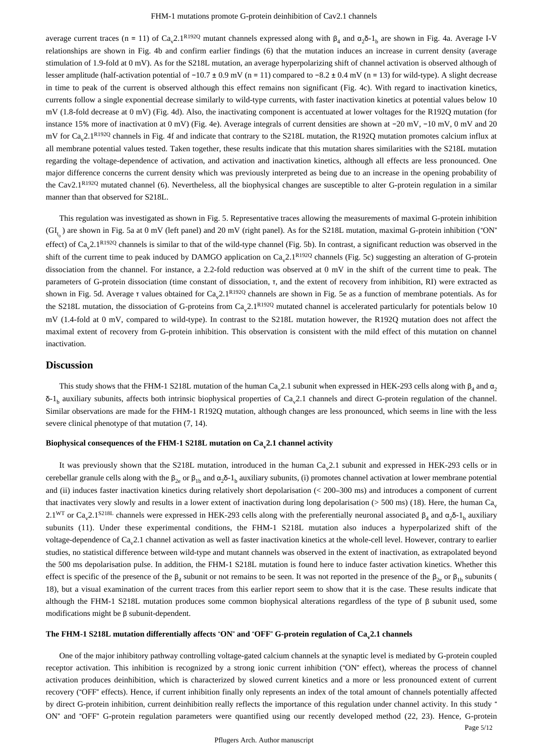average current traces (n = 11) of Ca<sub>v</sub>2.1<sup>R192Q</sup> mutant channels expressed along with  $\beta_4$  and  $\alpha_2\delta$ -1<sub>b</sub> are shown in Fig. 4a. Average I-V relationships are shown in Fig. 4b and confirm earlier findings (6) that the mutation induces an increase in current density (average stimulation of 1.9-fold at 0 mV). As for the S218L mutation, an average hyperpolarizing shift of channel activation is observed although of lesser amplitude (half-activation potential of  $-10.7 \pm 0.9$  mV (n = 11) compared to  $-8.2 \pm 0.4$  mV (n = 13) for wild-type). A slight decrease in time to peak of the current is observed although this effect remains non significant (Fig. 4c). With regard to inactivation kinetics, currents follow a single exponential decrease similarly to wild-type currents, with faster inactivation kinetics at potential values below 10  $mV$  (1.8-fold decrease at 0 mV) (Fig. 4d). Also, the inactivating component is accentuated at lower voltages for the R192Q mutation (for instance 15% more of inactivation at 0 mV) (Fig. 4e). Average integrals of current densities are shown at  $-20$  mV,  $-10$  mV,  $0$  mV and 20 mV for  $Ca<sub>v</sub>2.1<sup>R192Q</sup>$  channels in Fig. 4f and indicate that contrary to the S218L mutation, the R192Q mutation promotes calcium influx at all membrane potential values tested. Taken together, these results indicate that this mutation shares similarities with the S218L mutation regarding the voltage-dependence of activation, and activation and inactivation kinetics, although all effects are less pronounced. One major difference concerns the current density which was previously interpreted as being due to an increase in the opening probability of the Cav2.1 $R^{192Q}$  mutated channel (6). Nevertheless, all the biophysical changes are susceptible to alter G-protein regulation in a similar manner than that observed for S218L.

This regulation was investigated as shown in Fig. 5. Representative traces allowing the measurements of maximal G-protein inhibition  $(GI_{t_0})$  are shown in Fig. 5a at 0 mV (left panel) and 20 mV (right panel). As for the S218L mutation, maximal G-protein inhibition ("ON" effect) of  $Ca_v2.1^{R192Q}$  channels is similar to that of the wild-type channel (Fig. 5b). In contrast, a significant reduction was observed in the shift of the current time to peak induced by DAMGO application on  $Ca<sub>v</sub>2.1^{R192Q}$  channels (Fig. 5c) suggesting an alteration of G-protein dissociation from the channel. For instance, a 2.2-fold reduction was observed at 0 mV in the shift of the current time to peak. The parameters of G-protein dissociation (time constant of dissociation, τ, and the extent of recovery from inhibition, RI) were extracted as shown in Fig. 5d. Average  $\tau$  values obtained for  $Ca_v2.1^{R192Q}$  channels are shown in Fig. 5e as a function of membrane potentials. As for the S218L mutation, the dissociation of G-proteins from  $Ca<sub>v</sub>2.1<sup>R192Q</sup>$  mutated channel is accelerated particularly for potentials below 10 mV (1.4-fold at 0 mV, compared to wild-type). In contrast to the S218L mutation however, the R192Q mutation does not affect the maximal extent of recovery from G-protein inhibition. This observation is consistent with the mild effect of this mutation on channel inactivation.

#### **Discussion**

This study shows that the FHM-1 S218L mutation of the human Ca<sub>y</sub>2.1 subunit when expressed in HEK-293 cells along with  $\beta_4$  and  $\alpha_2$  $δ-1<sub>h</sub>$  auxiliary subunits, affects both intrinsic biophysical properties of Ca 2.1 channels and direct G-protein regulation of the channel. Similar observations are made for the FHM-1 R192Q mutation, although changes are less pronounced, which seems in line with the less severe clinical phenotype of that mutation  $(7, 14)$ .

#### **Biophysical consequences of the FHM-1 S218L mutation on Ca 2.1 channel activity <sup>v</sup>**

It was previously shown that the S218L mutation, introduced in the human  $Ca<sub>v</sub>2.1$  subunit and expressed in HEK-293 cells or in cerebellar granule cells along with the  $β_{2e}$  or  $β_{1b}$  and  $α_2δ-1_b$  auxiliary subunits, (i) promotes channel activation at lower membrane potential and (ii) induces faster inactivation kinetics during relatively short depolarisation (< 200-300 ms) and introduces a component of current that inactivates very slowly and results in a lower extent of inactivation during long depolarisation ( $>$  500 ms) (18). Here, the human Ca<sub>v</sub> 2.1<sup>WT</sup> or Ca<sub>v</sub>2.1<sup>S218L</sup> channels were expressed in HEK-293 cells along with the preferentially neuronal associated β<sub>4</sub> and  $\alpha_2\delta$ -1<sub>b</sub> auxiliary subunits (11). Under these experimental conditions, the FHM-1 S218L mutation also induces a hyperpolarized shift of the voltage-dependence of  $Ca<sub>v</sub>2.1$  channel activation as well as faster inactivation kinetics at the whole-cell level. However, contrary to earlier studies, no statistical difference between wild-type and mutant channels was observed in the extent of inactivation, as extrapolated beyond the 500 ms depolarisation pulse. In addition, the FHM-1 S218L mutation is found here to induce faster activation kinetics. Whether this effect is specific of the presence of the  $\beta_4$  subunit or not remains to be seen. It was not reported in the presence of the  $\beta_{2e}$  or  $\beta_{1b}$  subunits ( 18), but a visual examination of the current traces from this earlier report seem to show that it is the case. These results indicate that although the FHM-1 S218L mutation produces some common biophysical alterations regardless of the type of β subunit used, some modifications might be  $β$  subunit-dependent.

## The FHM-1 S218L mutation differentially affects "ON" and "OFF" G-protein regulation of  $\text{Ca}_\text{v}2.1$  channels

One of the major inhibitory pathway controlling voltage-gated calcium channels at the synaptic level is mediated by G-protein coupled receptor activation. This inhibition is recognized by a strong ionic current inhibition ("ON" effect), whereas the process of channel activation produces deinhibition, which is characterized by slowed current kinetics and a more or less pronounced extent of current recovery ("OFF" effects). Hence, if current inhibition finally only represents an index of the total amount of channels potentially affected by direct G-protein inhibition, current deinhibition really reflects the importance of this regulation under channel activity. In this study " ON" and "OFF" G-protein regulation parameters were quantified using our recently developed method (22, 23). Hence, G-protein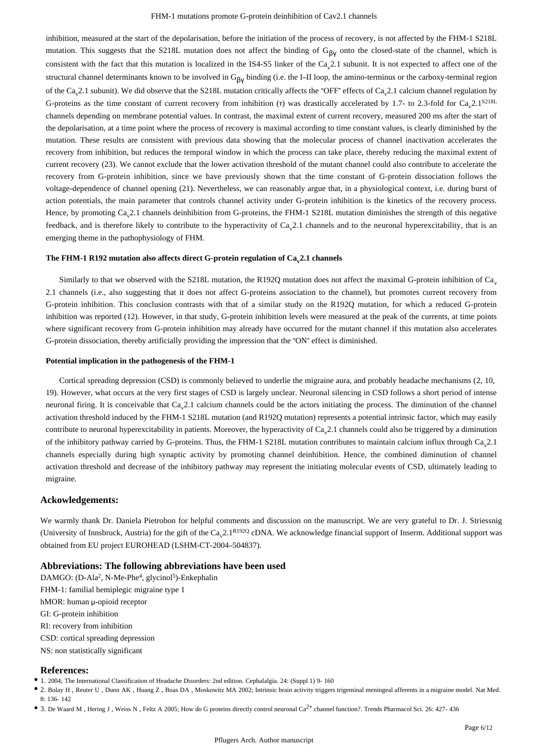inhibition, measured at the start of the depolarisation, before the initiation of the process of recovery, is not affected by the FHM-1 S218L mutation. This suggests that the S218L mutation does not affect the binding of  $G_{\beta v}$  onto the closed-state of the channel, which is consistent with the fact that this mutation is localized in the IS4-S5 linker of the  $Ca<sub>o</sub>2.1$  subunit. It is not expected to affect one of the structural channel determinants known to be involved in  $G_{\beta V}$  binding (i.e. the I-II loop, the amino-terminus or the carboxy-terminal region of the Ca<sub>y</sub>2.1 subunit). We did observe that the S218L mutation critically affects the "OFF" effects of Ca<sub>y</sub>2.1 calcium channel regulation by G-proteins as the time constant of current recovery from inhibition (τ) was drastically accelerated by 1.7- to 2.3-fold for  $Ca<sub>v</sub>2.1<sup>S218L</sup>$ channels depending on membrane potential values. In contrast, the maximal extent of current recovery, measured 200 ms after the start of the depolarisation, at a time point where the process of recovery is maximal according to time constant values, is clearly diminished by the mutation. These results are consistent with previous data showing that the molecular process of channel inactivation accelerates the recovery from inhibition, but reduces the temporal window in which the process can take place, thereby reducing the maximal extent of current recovery (23). We cannot exclude that the lower activation threshold of the mutant channel could also contribute to accelerate the recovery from G-protein inhibition, since we have previously shown that the time constant of G-protein dissociation follows the voltage-dependence of channel opening (21). Nevertheless, we can reasonably argue that, in a physiological context, i.e. during burst of action potentials, the main parameter that controls channel activity under G-protein inhibition is the kinetics of the recovery process. Hence, by promoting Ca 2.1 channels deinhibition from G-proteins, the FHM-1 S218L mutation diminishes the strength of this negative feedback, and is therefore likely to contribute to the hyperactivity of Ca 2.1 channels and to the neuronal hyperexcitability, that is an emerging theme in the pathophysiology of FHM.

## The FHM-1 R192 mutation also affects direct G-protein regulation of Ca<sub>v</sub>2.1 channels

Similarly to that we observed with the S218L mutation, the R192Q mutation does not affect the maximal G-protein inhibition of  $Ca<sub>o</sub>$ 2.1 channels (i.e., also suggesting that it does not affect G-proteins association to the channel), but promotes current recovery from G-protein inhibition. This conclusion contrasts with that of a similar study on the R192Q mutation, for which a reduced G-protein inhibition was reported (12). However, in that study, G-protein inhibition levels were measured at the peak of the currents, at time points where significant recovery from G-protein inhibition may already have occurred for the mutant channel if this mutation also accelerates G-protein dissociation, thereby artificially providing the impression that the " $ON$ " effect is diminished.

#### **Potential implication in the pathogenesis of the FHM-1**

Cortical spreading depression (CSD) is commonly believed to underlie the migraine aura, and probably headache mechanisms  $(2, 10, 10)$ 19). However, what occurs at the very first stages of CSD is largely unclear. Neuronal silencing in CSD follows a short period of intense neuronal firing. It is conceivable that  $Ca<sub>v</sub>2.1$  calcium channels could be the actors initiating the process. The diminution of the channel activation threshold induced by the FHM-1 S218L mutation (and R192Q mutation) represents a potential intrinsic factor, which may easily contribute to neuronal hyperexcitability in patients. Moreover, the hyperactivity of Ca<sub>2</sub>2.1 channels could also be triggered by a diminution of the inhibitory pathway carried by G-proteins. Thus, the FHM-1 S218L mutation contributes to maintain calcium influx through  $Ca<sub>a</sub>2.1$ channels especially during high synaptic activity by promoting channel deinhibition. Hence, the combined diminution of channel activation threshold and decrease of the inhibitory pathway may represent the initiating molecular events of CSD, ultimately leading to migraine.

#### **Ackowledgements:**

We warmly thank Dr. Daniela Pietrobon for helpful comments and discussion on the manuscript. We are very grateful to Dr. J. Striessnig (University of Innsbruck, Austria) for the gift of the  $Ca_v2.1^{R192Q}$  cDNA. We acknowledge financial support of Inserm. Additional support was obtained from EU project EUROHEAD (LSHM-CT-2004-504837).

## **Abbreviations: The following abbreviations have been used**

DAMGO: (D-Ala<sup>2</sup>, N-Me-Phe<sup>4</sup>, glycinol<sup>5</sup>)-Enkephalin FHM-1: familial hemiplegic migraine type 1 hMOR: human  $\mu$ -opioid receptor GI: G-protein inhibition RI: recovery from inhibition CSD: cortical spreading depression NS: non statistically significant

## **References:**

1. 2004; The International Classification of Headache Disorders: 2nd edition. Cephalalgia. 24: (Suppl 1) 9- 160

2. Bolay H , Reuter U , Dunn AK , Huang Z , Boas DA , Moskowitz MA 2002; Intrinsic brain activity triggers trigeminal meningeal afferents in a migraine model. Nat Med. 8: 136- 142

3. De Waard M, Hering J, Weiss N, Feltz A 2005; How do G proteins directly control neuronal Ca<sup>2+</sup> channel function?. Trends Pharmacol Sci. 26: 427- 436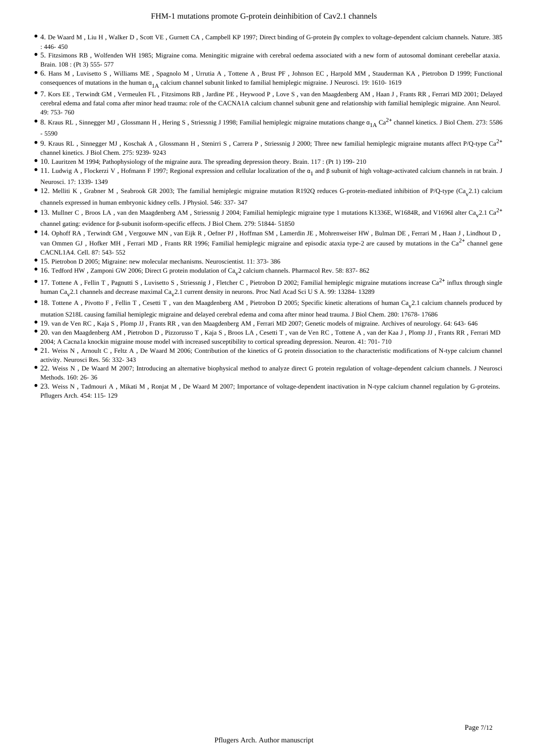- <sup>•</sup> 4. De Waard M , Liu H , Walker D , Scott VE , Gurnett CA , Campbell KP 1997; Direct binding of G-protein βγ complex to voltage-dependent calcium channels. Nature. 385 : 446- 450
- 5. Fitzsimons RB , Wolfenden WH 1985; Migraine coma. Meningitic migraine with cerebral oedema associated with a new form of autosomal dominant cerebellar ataxia. Brain. 108 : (Pt 3) 555- 577
- 6. Hans M , Luvisetto S , Williams ME , Spagnolo M , Urrutia A , Tottene A , Brust PF , Johnson EC , Harpold MM , Stauderman KA , Pietrobon D 1999; Functional consequences of mutations in the human  $\alpha_{1\text{A}}$  calcium channel subunit linked to familial hemiplegic migraine. J Neurosci. 19: 1610- 1619
- 7. Kors EE , Terwindt GM , Vermeulen FL , Fitzsimons RB , Jardine PE , Heywood P , Love S , van den Maagdenberg AM , Haan J , Frants RR , Ferrari MD 2001; Delayed cerebral edema and fatal coma after minor head trauma: role of the CACNA1A calcium channel subunit gene and relationship with familial hemiplegic migraine. Ann Neurol. 49: 753- 760
- 8. Kraus RL, Sinnegger MJ, Glossmann H, Hering S, Striessnig J 1998; Familial hemiplegic migraine mutations change  $\alpha_{1A} C a^{2+}$  channel kinetics. J Biol Chem. 273: 5586 - 5590
- 9. Kraus RL, Sinnegger MJ, Koschak A, Glossmann H, Stenirri S, Carrera P, Striessnig J 2000; Three new familial hemiplegic migraine mutants affect P/Q-type Ca<sup>2+</sup> channel kinetics. J Biol Chem. 275: 9239- 9243
- 10. Lauritzen M 1994; Pathophysiology of the migraine aura. The spreading depression theory. Brain. 117 : (Pt 1) 199- 210
- 11. Ludwig A, Flockerzi V, Hofmann F 1997; Regional expression and cellular localization of the α<sub>1</sub> and β subunit of high voltage-activated calcium channels in rat brain. J Neurosci. 17: 1339- 1349
- 12. Melliti K , Grabner M , Seabrook GR 2003; The familial hemiplegic migraine mutation R192Q reduces G-protein-mediated inhibition of P/Q-type (Ca<sub>v</sub>2.1) calcium channels expressed in human embryonic kidney cells. J Physiol. 546: 337- 347
- 13. Mullner C, Broos LA, van den Maagdenberg AM, Striessnig J 2004; Familial hemiplegic migraine type 1 mutations K1336E, W1684R, and V1696I alter Ca<sub>v</sub>2.1 Ca<sup>2+</sup> channel gating: evidence for β-subunit isoform-specific effects. J Biol Chem. 279: 51844- 51850
- 14. Ophoff RA , Terwindt GM , Vergouwe MN , van Eijk R , Oefner PJ , Hoffman SM , Lamerdin JE , Mohrenweiser HW , Bulman DE , Ferrari M , Haan J , Lindhout D , van Ommen GJ , Hofker MH , Ferrari MD , Frants RR 1996; Familial hemiplegic migraine and episodic ataxia type-2 are caused by mutations in the  $Ca<sup>2+</sup>$  channel gene CACNL1A4. Cell. 87: 543- 552
- 15. Pietrobon D 2005; Migraine: new molecular mechanisms. Neuroscientist. 11: 373- 386
- 16. Tedford HW, Zamponi GW 2006; Direct G protein modulation of  $Ca<sub>v</sub>$ 2 calcium channels. Pharmacol Rev. 58: 837-862
- 17. Tottene A, Fellin T, Pagnutti S, Luvisetto S, Striessnig J, Fletcher C, Pietrobon D 2002; Familial hemiplegic migraine mutations increase  $Ca^{2+}$  influx through single human Ca<sub>y</sub>2.1 channels and decrease maximal Ca<sub>y</sub>2.1 current density in neurons. Proc Natl Acad Sci U S A. 99: 13284-13289
- <sup>18</sup> 18. Tottene A , Pivotto F , Fellin T , Cesetti T , van den Maagdenberg AM , Pietrobon D 2005; Specific kinetic alterations of human Ca<sub>v</sub>2.1 calcium channels produced by mutation S218L causing familial hemiplegic migraine and delayed cerebral edema and coma after minor head trauma. J Biol Chem. 280: 17678- 17686
- 19. van de Ven RC , Kaja S , Plomp JJ , Frants RR , van den Maagdenberg AM , Ferrari MD 2007; Genetic models of migraine. Archives of neurology. 64: 643- 646
- 20. van den Maagdenberg AM , Pietrobon D , Pizzorusso T , Kaja S , Broos LA , Cesetti T , van de Ven RC , Tottene A , van der Kaa J , Plomp JJ , Frants RR , Ferrari MD 2004; A Cacna1a knockin migraine mouse model with increased susceptibility to cortical spreading depression. Neuron. 41: 701- 710
- 21. Weiss N, Arnoult C, Feltz A, De Waard M 2006; Contribution of the kinetics of G protein dissociation to the characteristic modifications of N-type calcium channel activity. Neurosci Res. 56: 332- 343
- 22. Weiss N , De Waard M 2007; Introducing an alternative biophysical method to analyze direct G protein regulation of voltage-dependent calcium channels. J Neurosci Methods. 160: 26- 36
- 23. Weiss N , Tadmouri A , Mikati M , Ronjat M , De Waard M 2007; Importance of voltage-dependent inactivation in N-type calcium channel regulation by G-proteins. Pflugers Arch. 454: 115- 129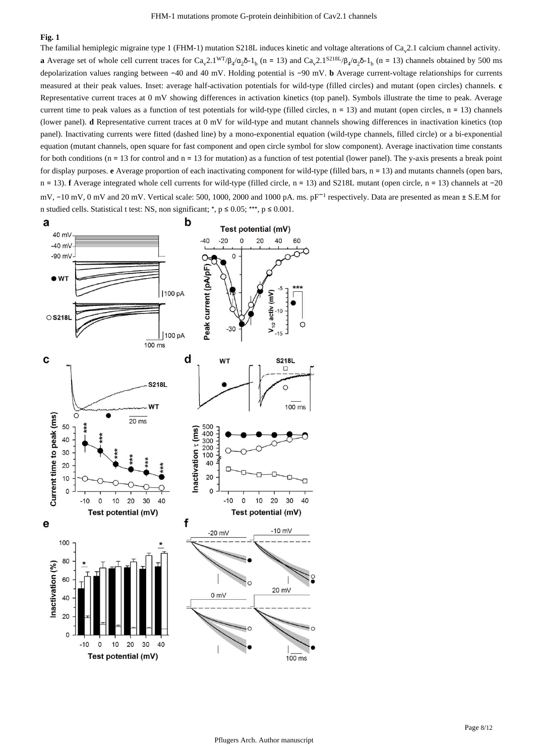The familial hemiplegic migraine type 1 (FHM-1) mutation S218L induces kinetic and voltage alterations of  $Ca<sub>v</sub>2.1$  calcium channel activity. **a** Average set of whole cell current traces for Ca<sub>v</sub>2.1<sup>WT</sup>/ $\beta_4/\alpha_2\delta$ -1<sub>b</sub> (n = 13) and Ca<sub>v</sub>2.1<sup>S218L</sup>/ $\beta_4/\alpha_2\delta$ -1<sub>b</sub> (n = 13) channels obtained by 500 ms depolarization values ranging between -40 and 40 mV. Holding potential is -90 mV. **b** Average current-voltage relationships for currents measured at their peak values. Inset: average half-activation potentials for wild-type (filled circles) and mutant (open circles) channels. **c** Representative current traces at 0 mV showing differences in activation kinetics (top panel). Symbols illustrate the time to peak. Average current time to peak values as a function of test potentials for wild-type (filled circles,  $n = 13$ ) and mutant (open circles,  $n = 13$ ) channels (lower panel). **d** Representative current traces at 0 mV for wild-type and mutant channels showing differences in inactivation kinetics (top panel). Inactivating currents were fitted (dashed line) by a mono-exponential equation (wild-type channels, filled circle) or a bi-exponential equation (mutant channels, open square for fast component and open circle symbol for slow component). Average inactivation time constants for both conditions ( $n = 13$  for control and  $n = 13$  for mutation) as a function of test potential (lower panel). The y-axis presents a break point for display purposes. e Average proportion of each inactivating component for wild-type (filled bars, n = 13) and mutants channels (open bars, n = 13). **f** Average integrated whole cell currents for wild-type (filled circle, n = 13) and S218L mutant (open circle, n = 13) channels at -20 mV,  $-10$  mV,  $0$  mV and 20 mV. Vertical scale: 500, 1000, 2000 and 1000 pA. ms. pF<sup> $-1$ </sup> respectively. Data are presented as mean  $\pm$  S.E.M for n studied cells. Statistical t test: NS, non significant; \*,  $p \le 0.05$ ; \*\*\*,  $p \le 0.001$ .

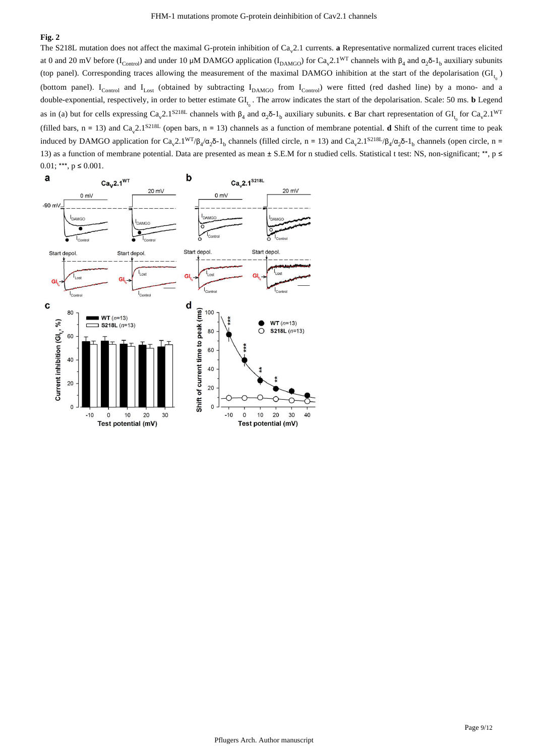The S218L mutation does not affect the maximal G-protein inhibition of  $Ca<sub>v</sub>2.1$  currents. a Representative normalized current traces elicited at 0 and 20 mV before (I<sub>Control</sub>) and under 10 µM DAMGO application (I<sub>DAMGO</sub>) for Ca<sub>v</sub>2.1<sup>WT</sup> channels with  $\beta_4$  and  $\alpha_2\delta$ -1<sub>b</sub> auxiliary subunits (top panel). Corresponding traces allowing the measurement of the maximal DAMGO inhibition at the start of the depolarisation  $(GI_t)$ (bottom panel). I<sub>Control</sub> and I<sub>Lost</sub> (obtained by subtracting I<sub>DAMGO</sub> from I<sub>Control</sub>) were fitted (red dashed line) by a mono- and a double-exponential, respectively, in order to better estimate  $GI_{t_0}$ . The arrow indicates the start of the depolarisation. Scale: 50 ms. **b** Legend as in (a) but for cells expressing  $Ca_v 2.1^{S218L}$  channels with  $\beta_4$  and  $\alpha_2\delta$ -1<sub>b</sub> auxiliary subunits. c Bar chart representation of  $Gl_{t_0}$  for  $Ca_v 2.1^{W1}$ (filled bars,  $n = 13$ ) and Ca<sub>y</sub>2.1<sup>S218L</sup> (open bars,  $n = 13$ ) channels as a function of membrane potential. **d** Shift of the current time to peak induced by DAMGO application for Ca<sub>v</sub>2.1<sup>WT</sup>/ $\beta_4/\alpha_2\delta$ -1<sub>b</sub> channels (filled circle, n = 13) and Ca<sub>v</sub>2.1<sup>S218L</sup>/ $\beta_4/\alpha_2\delta$ -1<sub>b</sub> channels (open circle, n = 13) as a function of membrane potential. Data are presented as mean  $\pm$  S.E.M for n studied cells. Statistical t test: NS, non-significant; \*\*, p  $\leq$  $0.01$ ; \*\*\*,  $p \le 0.001$ .

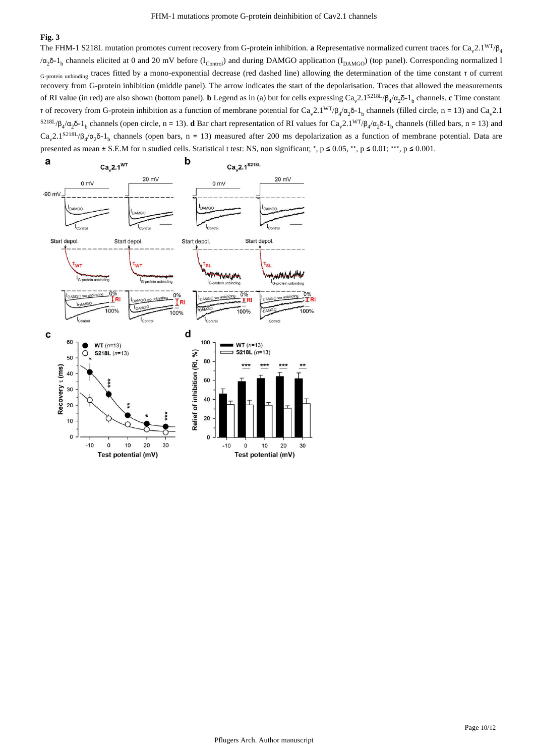The FHM-1 S218L mutation promotes current recovery from G-protein inhibition. **a** Representative normalized current traces for  $Ca<sub>v</sub>2.1<sup>WT</sup>/B<sub>4</sub>$ / $\alpha_2$ δ-1<sub>b</sub> channels elicited at 0 and 20 mV before (I<sub>Control</sub>) and during DAMGO application (I<sub>DAMGO</sub>) (top panel). Corresponding normalized I G-protein unbinding traces fitted by a mono-exponential decrease (red dashed line) allowing the determination of the time constant τ of current recovery from G-protein inhibition (middle panel). The arrow indicates the start of the depolarisation. Traces that allowed the measurements of RI value (in red) are also shown (bottom panel). **b** Legend as in (a) but for cells expressing  $Ca_y2.1^{S218L}/\beta_4/\alpha_2\delta_1$ , channels. **c** Time constant τ of recovery from G-protein inhibition as a function of membrane potential for Ca<sub>v</sub>2.1<sup>WT</sup>/β<sub>4</sub>/α<sub>2</sub>δ-1<sub>b</sub> channels (filled circle, n = 13) and Ca<sub>v</sub>2.1 <sup>S218L</sup>/β<sub>4</sub>/α<sub>2</sub>δ-1<sub>b</sub> channels (open circle, n = 13). **d** Bar chart representation of RI values for Ca<sub>v</sub>2.1<sup>WT</sup>/β<sub>4</sub>/α<sub>2</sub>δ-1<sub>b</sub> channels (filled bars, n = 13) and  $Ca<sub>v</sub>2.1<sup>S218L</sup>/β<sub>4</sub>/α<sub>2</sub>δ-1<sub>b</sub>$  channels (open bars, n = 13) measured after 200 ms depolarization as a function of membrane potential. Data are presented as mean  $\pm$  S.E.M for n studied cells. Statistical test: NS, non significant; \*, p ≤ 0.05, \*\*, p ≤ 0.01; \*\*\*, p ≤ 0.001.

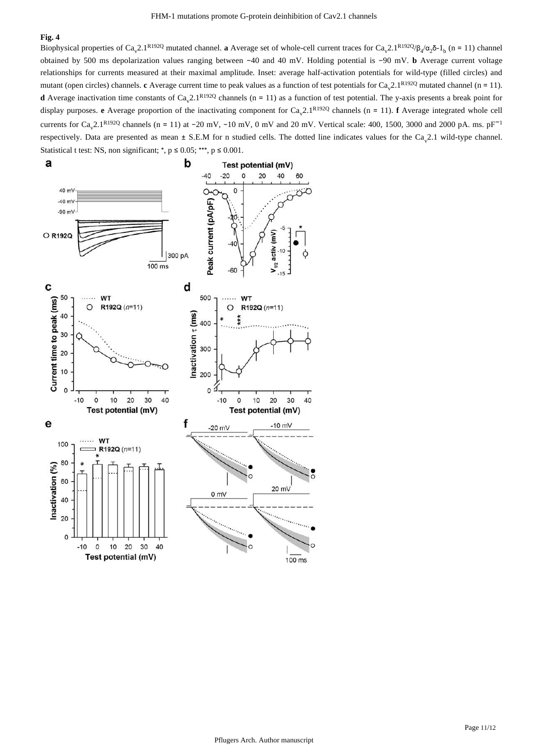Biophysical properties of Ca<sub>v</sub>2.1<sup>R192Q</sup> mutated channel. **a** Average set of whole-cell current traces for Ca<sub>v</sub>2.1<sup>R192Q</sup>/ $\beta_4/\alpha_2\delta$ -1<sub>b</sub> (n = 11) channel obtained by 500 ms depolarization values ranging between -40 and 40 mV. Holding potential is -90 mV. **b** Average current voltage relationships for currents measured at their maximal amplitude. Inset: average half-activation potentials for wild-type (filled circles) and mutant (open circles) channels. c Average current time to peak values as a function of test potentials for Ca<sub>y</sub>2.1<sup>R192Q</sup> mutated channel (n = 11). **d** Average inactivation time constants of  $Ca_v 2.1^{R192Q}$  channels ( $n = 11$ ) as a function of test potential. The y-axis presents a break point for display purposes. **e** Average proportion of the inactivating component for  $Ca_v 2.1^{R192Q}$  channels (n = 11). **f** Average integrated whole cell currents for  $Ca_v 2.1^{R192Q}$  channels (n = 11) at -20 mV, -10 mV, 0 mV and 20 mV. Vertical scale: 400, 1500, 3000 and 2000 pA. ms. pF<sup>-1</sup> respectively. Data are presented as mean  $\pm$  S.E.M for n studied cells. The dotted line indicates values for the Ca<sub>v</sub>2.1 wild-type channel. Statistical t test: NS, non significant; \*,  $p \le 0.05$ ; \*\*\*,  $p \le 0.001$ .